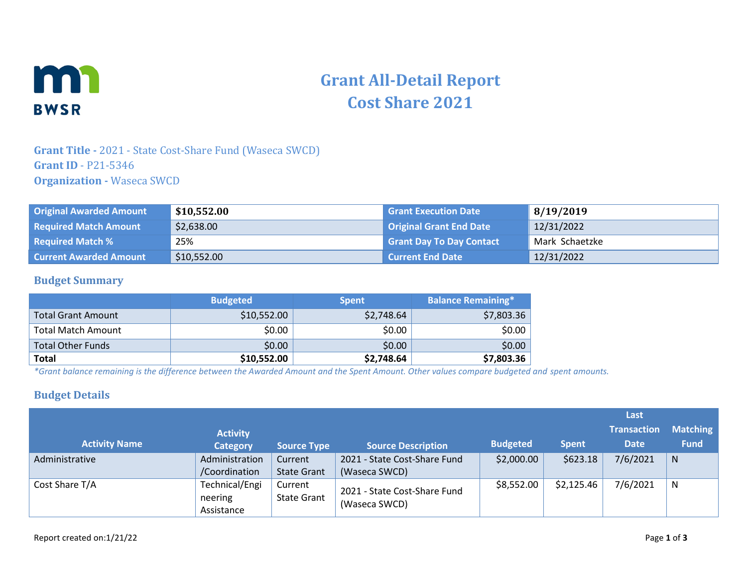

# **Grant All-Detail Report Cost Share 2021**

## **Grant Title -** 2021 - State Cost-Share Fund (Waseca SWCD) **Grant ID** - P21-5346 **Organization -** Waseca SWCD

| <b>Original Awarded Amount</b> | \$10,552.00 | <b>Grant Execution Date</b>     | 8/19/2019      |
|--------------------------------|-------------|---------------------------------|----------------|
| <b>Required Match Amount</b>   | \$2,638.00  | Original Grant End Date         | 12/31/2022     |
| <b>Required Match %</b>        | 25%         | <b>Grant Day To Day Contact</b> | Mark Schaetzke |
| <b>Current Awarded Amount</b>  | \$10,552.00 | Current End Date                | 12/31/2022     |

#### **Budget Summary**

|                           | <b>Budgeted</b> | <b>Spent</b> | <b>Balance Remaining*</b> |
|---------------------------|-----------------|--------------|---------------------------|
| <b>Total Grant Amount</b> | \$10,552.00     | \$2,748.64   | \$7,803.36                |
| <b>Total Match Amount</b> | \$0.00          | \$0.00       | \$0.00                    |
| <b>Total Other Funds</b>  | \$0.00          | \$0.00       | \$0.00                    |
| <b>Total</b>              | \$10,552.00     | \$2,748.64   | \$7,803.36                |

*\*Grant balance remaining is the difference between the Awarded Amount and the Spent Amount. Other values compare budgeted and spent amounts.*

### **Budget Details**

|                      |                                         |                               |                                               |                 |              | Last                              |                                |
|----------------------|-----------------------------------------|-------------------------------|-----------------------------------------------|-----------------|--------------|-----------------------------------|--------------------------------|
| <b>Activity Name</b> | <b>Activity</b><br><b>Category</b>      | <b>Source Type</b>            | <b>Source Description</b>                     | <b>Budgeted</b> | <b>Spent</b> | <b>Transaction</b><br><b>Date</b> | <b>Matching</b><br><b>Fund</b> |
| Administrative       | Administration<br>/Coordination         | Current<br><b>State Grant</b> | 2021 - State Cost-Share Fund<br>(Waseca SWCD) | \$2,000.00      | \$623.18     | 7/6/2021                          | N                              |
| Cost Share T/A       | Technical/Engi<br>neering<br>Assistance | Current<br><b>State Grant</b> | 2021 - State Cost-Share Fund<br>(Waseca SWCD) | \$8,552.00      | \$2,125.46   | 7/6/2021                          | N                              |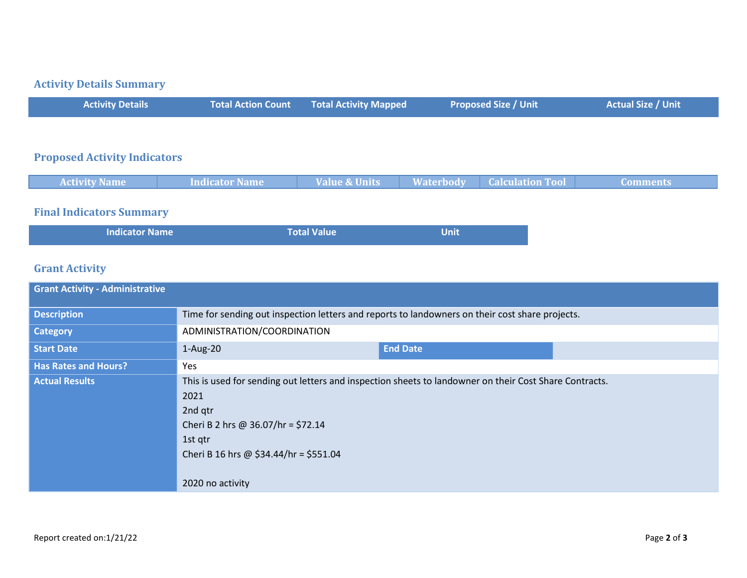# **Activity Details Summary**

| <b>Activity Details</b> | Total Action Count Total Activity Mapped | <b>Proposed Size / Unit \</b> | <b>Actual Size / Unit</b> |
|-------------------------|------------------------------------------|-------------------------------|---------------------------|
|                         |                                          |                               |                           |

### **Proposed Activity Indicators**

| <b>Activity Name</b> | Indicator Name | <b>Value &amp; Units</b> | <b>Example 1 Number 1 Number 1 Number 1 Number 1 Number 1 Number 1 Number 1 Number 1 Number 1 Number 1 Number 1 Number 1 Number 1 Number 1 Number 1 Number 1 Number 1 Number 1 Number 1 Number 1 Number 1 Number 1 Number 1 Numb</b> | <b>Comments</b> |
|----------------------|----------------|--------------------------|--------------------------------------------------------------------------------------------------------------------------------------------------------------------------------------------------------------------------------------|-----------------|
|                      |                |                          |                                                                                                                                                                                                                                      |                 |

## **Final Indicators Summary**

| <b>Indicator Name</b> | <b>Total Value</b> | <b>Unit</b> |
|-----------------------|--------------------|-------------|
|                       |                    |             |

# **Grant Activity**

| <b>Grant Activity - Administrative</b> |                                                                                                                                                                                                                                          |                 |  |
|----------------------------------------|------------------------------------------------------------------------------------------------------------------------------------------------------------------------------------------------------------------------------------------|-----------------|--|
| <b>Description</b>                     | Time for sending out inspection letters and reports to landowners on their cost share projects.                                                                                                                                          |                 |  |
| <b>Category</b>                        | ADMINISTRATION/COORDINATION                                                                                                                                                                                                              |                 |  |
| <b>Start Date</b>                      | $1-Aug-20$                                                                                                                                                                                                                               | <b>End Date</b> |  |
| <b>Has Rates and Hours?</b>            | Yes                                                                                                                                                                                                                                      |                 |  |
| <b>Actual Results</b>                  | This is used for sending out letters and inspection sheets to landowner on their Cost Share Contracts.<br>2021<br>2nd qtr<br>Cheri B 2 hrs @ 36.07/hr = \$72.14<br>1st qtr<br>Cheri B 16 hrs @ $$34.44/hr = $551.04$<br>2020 no activity |                 |  |